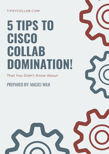#### TIPSYCOLLAB.COM

# **5 TIPS TO CISCO COLLAB DOMINATION!**

That You Didn't Know About

PREPARED BY: MACIEJ WILK



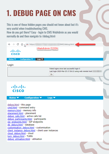### **1. DEBUG PAGE ON CMS**

This is one of those hidden pages you should not know about but it's very useful when troubleshooting CMS.

How do you get there? Easy - login to CMS WebAdmin as you would normally do and then navigate to /debug.html:

| $\leftarrow$ $\rightarrow$ C $\Omega$ $\Delta$ see https://                                                                                                                                                                                                       | 8443/debug.html                                       |
|-------------------------------------------------------------------------------------------------------------------------------------------------------------------------------------------------------------------------------------------------------------------|-------------------------------------------------------|
| <b>WebAdmin FQDN</b><br>ahaha<br><b>CISCO</b>                                                                                                                                                                                                                     |                                                       |
| Configuration $\blacktriangledown$<br>Status <b>v</b><br>Logs $\blacktriangledown$                                                                                                                                                                                |                                                       |
| Login                                                                                                                                                                                                                                                             |                                                       |
|                                                                                                                                                                                                                                                                   | Failed logins since last successful login 0           |
| Ok                                                                                                                                                                                                                                                                | Last login 2020-Mar-25 17:36:13 using web remote host |
|                                                                                                                                                                                                                                                                   |                                                       |
| ahaha<br><b>CISCO</b><br>Configuration $\blacktriangledown$<br>Status <b>v</b><br>Logs $\blacktriangledown$                                                                                                                                                       |                                                       |
| debug.html - this page<br>cmd.html - command entry<br>memory.html - memory info<br>placement.html - placement<br>debug_calls.html - active calls list<br>debug_participants.html - participants<br>sip_endpoints.html - SIP endpoints<br>db debug.html - database |                                                       |
| customisation debug.html - customisation<br>client instance debug.html - client user instances<br>cloud debug.html - cloud<br>turn_debug.html - TURN<br>debug_utilisation.html - utilisation                                                                      |                                                       |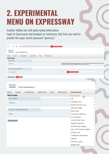#### **2. EXPERIMENTAL MENU ON EXPRESSWAY**

Another hidden one with quite handy information. Login to Expressway and navigate to /setaccess, this time you need to provide the super secret password "qwertsys":

| $\leftarrow$ $\rightarrow$ C $\Omega$ a<br>/setaccess ·                                 |                                                                                                                                                                       |   |
|-----------------------------------------------------------------------------------------|-----------------------------------------------------------------------------------------------------------------------------------------------------------------------|---|
| 河面地<br><b>CISCO</b><br>Cisco Expressway-C                                               |                                                                                                                                                                       |   |
|                                                                                         |                                                                                                                                                                       |   |
| System<br>Configuration<br><b>Applications</b><br>Maintenance<br>Status<br><b>Users</b> |                                                                                                                                                                       |   |
| <b>Set access</b><br><b>DISCLAIMER</b>                                                  |                                                                                                                                                                       |   |
| <b>WARNING</b>                                                                          |                                                                                                                                                                       |   |
|                                                                                         | Enabling this feature will provide access to a number of experimental tools on the web interface.<br>production system. Use of this feature will be at your own risk. |   |
| <b>Access to experimental tools</b>                                                     |                                                                                                                                                                       |   |
| <br>Access password                                                                     |                                                                                                                                                                       |   |
|                                                                                         |                                                                                                                                                                       |   |
| <b>Enable access</b>                                                                    |                                                                                                                                                                       |   |
|                                                                                         |                                                                                                                                                                       |   |
|                                                                                         |                                                                                                                                                                       |   |
| ahaha<br><b>CISCO</b>                                                                   |                                                                                                                                                                       |   |
| Cisco Expressway-C                                                                      |                                                                                                                                                                       |   |
| Configuration<br>Applications<br>Maintenance<br>System<br><b>Users</b><br><b>Status</b> | <b>Experimental</b>                                                                                                                                                   |   |
| Set access                                                                              | Set access<br>لس                                                                                                                                                      |   |
| <b>DISCLAIMER</b>                                                                       | API                                                                                                                                                                   | ⋗ |
|                                                                                         | Developer log                                                                                                                                                         | ≻ |
| <b>WARNING</b>                                                                          | <b>Hybrid Services Log</b>                                                                                                                                            | ≯ |
|                                                                                         | Network Graph                                                                                                                                                         | ≯ |
| Access to experimental tools                                                            | <b>Rate limits</b>                                                                                                                                                    |   |
| <b>Status</b>                                                                           | Command reference                                                                                                                                                     | ≯ |
|                                                                                         | X Commands                                                                                                                                                            | ≻ |
| Disable access                                                                          | <b>CUCM/CUPS Proxy</b>                                                                                                                                                | ≻ |
|                                                                                         | Toggle Symphony                                                                                                                                                       |   |
|                                                                                         | Provisioning Logging                                                                                                                                                  | ≯ |
|                                                                                         | <b>View SIP Transport Status</b>                                                                                                                                      |   |
|                                                                                         | Cluster view                                                                                                                                                          | ≯ |
|                                                                                         | Certificate Information                                                                                                                                               |   |
|                                                                                         | Ciphers                                                                                                                                                               |   |
|                                                                                         |                                                                                                                                                                       | ≯ |
|                                                                                         | Directory policy                                                                                                                                                      |   |
|                                                                                         | <b>B2BUA Dial</b>                                                                                                                                                     |   |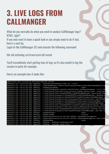#### **3. LIVE LOGS FROM CALLMANGER**

What do you normally do when you need to analyze CallManager logs? RTMT, right? If you only want to have a quick look or you simply need to do it fast, here's a cool tip.

Login to the CallManager CLI and execute the following command:

file tail activelog cm/trace/ccm/sdl recent

You'll immediately start getting tons of logs so it's also useful to log the session in putty for example.

Here's an example how it looks like:

| admin:file tail activelog cm/trace/ccm/sdl recent |         |                                                                   |         |
|---------------------------------------------------|---------|-------------------------------------------------------------------|---------|
| 84602814.010   18:07:25.862   AppInfo             |         | checked maintenance Time is $= 00:00$                             |         |
| 84602814.011   18:07:25.862   AppInfo             |         | CcmCcmdbHelper::getProcessConfigGivenProcessnodeParamnameService  |         |
| 84602815.000   18:07:25.862   SdlSig              |         | SIPRegisterResp                                                   | Iwait   |
| 84602815.001   18:07:25.862   AppInfo             |         | //SIP/SIPHandler/ccbId=0/scbId=0/wait SIPReqisterResp: ++++++ De  |         |
| 84602815.002   18:07:25.862   AppInfo             |         | //SIP/Stack/Info/0x0/ccsip process sipspi queue event: ccsip spi  |         |
| 84602815.003   18:07:25.862   AppInfo             |         | //SIP/Stack/Info/0x0xd6d44f58/sipSPISendResponse: Associated con  |         |
| 84602815.004   18:07:25.862   AppInfo             |         | //SIP/Stack/Transport/0x0xd6d44f58/sipSPISendResponse: Sending R  |         |
| 84602815.005   18:07:25.862   AppInfo             |         | //SIP/Stack/Transport/0x0xd6d44f58/sipSPITransportSendMessage: m  |         |
| 84602815.006   18:07:25.862   AppInfo             |         | //SIP/Stack/Transport/0x0/sipInstanceGetConnectionId: qcb=0xd6d4  |         |
| 84602815.007   18:07:25.862   AppInfo             |         | ///SIP/Stack/Transport/0x0xd6d44f58/sipTransportLogicSendMsg: Con |         |
| 84602815.008   18:07:25.862   AppInfo             |         | //SIP/Stack/Transport/0x0xd6d44f58/sipTransportPostSendMessaqe:   |         |
| 84602815.009   18:07:25.862   AppInfo             |         | //SIP/Stack/Info/0x0xd6d44f58/sipSPIFlushEventBufferQueue: There  |         |
| 84602815.010   18:07:25.862   AppInfo             |         | //SIP/Stack/Transport/0x0/sipConnectionManagerUnregisterCtxtInCo  |         |
| 84602815.011   18:07:25.862   AppInfo             |         | //SIP/Stack/Info/0x0xd6d44f58/sipSPIUfreeOneCCB: Freeing ccb d6d  |         |
| 84602815.012   18:07:25.862   AppInfo             |         | //SIP/Stack/Transport/0x0/sipSPITransportSendMessage: gcb has cl  |         |
| 84602816.000   18:07:25.862   SdlSig              |         | SIPSPISignal                                                      | Iwait   |
| 84602817.000   18:07:25.862   SdlSig              |         | SdlWriteReq                                                       | lactive |
| 84602817.001   18:07:25.862   AppInfo             |         | SIPSocketProtocol(2,100,247,45889)::handleWriteComplete           |         |
| 84602818.000   18:07:25.867                       | AppInfo | SIPSocketProtocol(2,100,247,42034)::handleReadComplete send SdlR  |         |
| 84602819.000   18:07:25.867                       | SdlSig  | SdlReadRsp                                                        | wait    |
| 84602819.001   18:07:25.867                       | AppInfo | SIPTcp - SdlRead bufferLen=1057                                   |         |
| 84602819.002   18:07:25.867   AppInfo             |         | SIPTcp - message cache full.                                      |         |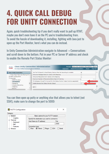### **4. QUICK CALL DEBUG FOR UNITY CONNECTION**

Again, quick troubleshooting tip if you don't really want to pull up RTMT, maybe you don't even have it on the PC you're troubleshooting from. To avoid the hassle of downloading it, installing, fighting with Java just to open up the Port Monitor, here's what you can do instead.

In Unity Connection Administration navigate to Advanced -> Conversations and scroll down to the bottom. Put in your PC or Server IP address and check to enable the Remote Port Status Monitor:

| admilio.<br><b>CISCO</b><br><b>For Cisco Unified Communications Solutions</b> | <b>Cisco Unity Connection Administration</b>                                     | Navigation Cisco Unity Connection Administration ▼  <br><b>Search Documentation</b><br>Sign Out<br><b>About</b> | Go. |
|-------------------------------------------------------------------------------|----------------------------------------------------------------------------------|-----------------------------------------------------------------------------------------------------------------|-----|
| <b>Cisco Unity Connection</b>                                                 | Use Text To Speech to Read Display Names When No Recording Is Available          | $\overline{\mathscr{I}}$                                                                                        |     |
| "Cross-Origin Resource Sharing (CC ▲                                          | Announce Message Status to User(s) while Replying                                |                                                                                                                 |     |
| 田 SMTP Configuration                                                          | Announce Recipients list to User(s) while Replying                               |                                                                                                                 |     |
| 日 <sup>·</sup> ·Advanced<br>SMPP Providers                                    | Maximum Number of Recipients Before Reply-All Warning                            |                                                                                                                 |     |
| Conversations                                                                 | IP Addresses Allowed To Connect For Port Status Monitor Output (comma-separated) |                                                                                                                 |     |
| Messaging                                                                     | Enable Remote Port Status Monitor Output                                         |                                                                                                                 |     |
| -Intrasite Networking<br>- Telephony<br>٠                                     | Save                                                                             |                                                                                                                 |     |
| Renorts                                                                       |                                                                                  |                                                                                                                 |     |

You can then open up putty or anything else that allows you to telnet (not SSH!), make sure to change the port to 5000:

| PuTTY Configuration                                                              |                                                                                                                                                           |
|----------------------------------------------------------------------------------|-----------------------------------------------------------------------------------------------------------------------------------------------------------|
| Category:<br>⊟⊹Session                                                           | Basic options for your PuTTY session                                                                                                                      |
| <b>Logging</b><br>Terminal<br>Keyboard<br>i… Bell<br><b>Eeatures</b><br>⊟ Window | Specify the destination you want to connect to<br>Host Name (or IP address)<br>Port<br>5000<br>Connection type:<br>○ Raw ● Telnet ○ Rlogin ○ SSH ○ Serial |

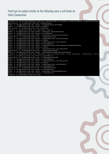#### You' II get an output similar to the following once a call lands on Unity Connection :

| CallData, 4, CallerId=wilq@tipsycollab.com, CalledId= <vm number="" pilot="">, RedirectinqId=, AltRedirectinqId=,</vm> |
|------------------------------------------------------------------------------------------------------------------------|
| Application, 4, wilq@tipsycollab.com, AttemptSignIn                                                                    |
| State, 4, wilq@tipsycollab.com, State - AttemptSignIn.cde!Dummy                                                        |
| State, 4, wilq@tipsycollab.com, Event is [NULL]                                                                        |
| Application, 4, wilq@tipsycollab.com, SubSignIn                                                                        |
| Display, 4, wilq@tipsycollab.com, Subscriber Sign-In                                                                   |
| State, 4, wilq@tipsycollab.com, State - SubSignIn.cde!AnswerPhone                                                      |
| State, 4, wilq@tipsycollab.com, Event is [TrueEvent]                                                                   |
| State, 4, wilq@tipsycollab.com, State - SubSignIn.cde!AuthenticateUser                                                 |
| Application, 4, wilq@tipsycollab.com, -->SubAuthenticate                                                               |
| State, 4, wilq@tipsycollab.com, State - SubAuthenticate.cde!TryCounter                                                 |
| State, 4, wilq@tipsycollab.com, Event is [NULL]                                                                        |
| State, 4, wilq@tipsycollab.com, State - SubAuthenticate.cde!GatherID                                                   |
| State, 4, wilq@tipsycollab.com, Event is [FalseEvent]                                                                  |
| State, 4, wilq@tipsycollab.com, State - SubAuthenticate.cde!LoadSubscriberMinimalData                                  |
| State, 4, wilq@tipsycollab.com, Event is [NULL]                                                                        |
| State, 4, wilq@tipsycollab.com, State - SubAuthenticate.cde!GatherPIN                                                  |
| Application, 4, wilq@tipsycollab.com, -->SubAuthenticatePW                                                             |
| State, 4, wilq@tipsycollab.com, State - SubAuthenticatePW.cde!ValidatePwd                                              |
| Display, 4, wilq@tipsycollab.com, Subscriber sign-in failed. Alias - wilq. Extension - <extension>. Caller</extension> |
| State, 4, wilq@tipsycollab.com, Event is [FalseEvent]                                                                  |
| Application, 4, wilq@tipsycollab.com, <--SubAuthenticatePW                                                             |
| State, 4, wilq@tipsycollab.com, Event is [FalseEvent]                                                                  |
| State, 4, wilq@tipsycollab.com, State - SubAuthenticate.cde!TryCounter                                                 |
| State, 4, wilq@tipsycollab.com, Event is [NULL]                                                                        |
| State, 4, wilq@tipsycollab.com, State - SubAuthenticate.cde!GatherID                                                   |
| State, 4, wilq@tipsycollab.com, Event is [HanqupEvent]                                                                 |
| Application, 4, wilq@tipsycollab.com, <--SubAuthenticate                                                               |
| State, 4, wilq@tipsycollab.com, Event is [HanqupEvent]                                                                 |
| State, 4, wilq@tipsycollab.com, State - SubSignIn.cde!HanqupThePhone                                                   |
| State, 4, wilq@tipsycollab.com, Event is [HanqupEvent]                                                                 |
| Display, 4, wilq@tipsycollab.com, Idle                                                                                 |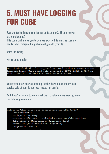#### **5. MUST HAVE LOGGING FOR CUBE**

Ever wanted to know a solution for an issue on CUBE before even enabling logging? This command allows you to achieve exactly this in many scenarios, needs to be configured in global config mode (conf t):

voice iec syslog

Here's an example:

Feb 11 01:42:57.371: %VOICE IEC-3-GW: Application Framework Core: Internal Error (Toll fraud call rejected): IEC=1.1.228.3.31.0 on callID 288 GUID=DB3F10AC619711DCA7618593A790099E

You immediately see you should probably have a look under voice service voip at your ip address trusted list config.

And if you're curious to know what the IEC value means exactly, issue the following command:

```
wilqsbc01#show voice iec description 1.1.228.3.31.0
 IEC Version: 1
Entity: 1 (Gateway)
Category: 228 (User is denied access to this service)
Subsystem: 3 (Application Framework Core)
Error: 31 (Toll fraud call rejected)
Diagnostic Code: 0
```